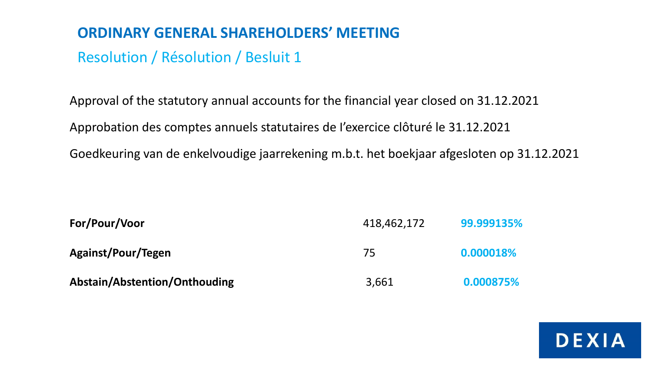# Resolution / Résolution / Besluit 1

Approval of the statutory annual accounts for the financial year closed on 31.12.2021 Approbation des comptes annuels statutaires de I'exercice clôturé le 31.12.2021 Goedkeuring van de enkelvoudige jaarrekening m.b.t. het boekjaar afgesloten op 31.12.2021

| For/Pour/Voor                 | 418,462,172 | 99.999135% |
|-------------------------------|-------------|------------|
| <b>Against/Pour/Tegen</b>     | 75          | 0.000018%  |
| Abstain/Abstention/Onthouding | 3,661       | 0.000875%  |

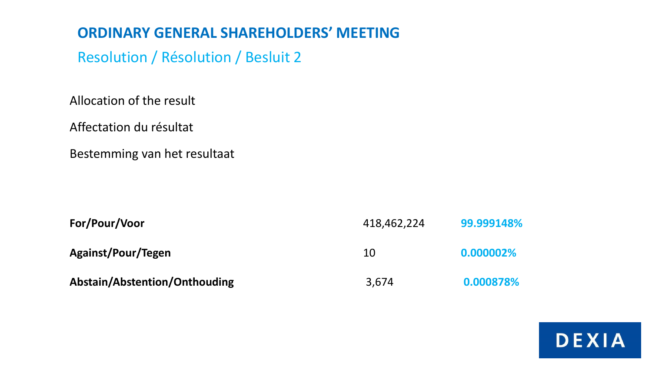Resolution / Résolution / Besluit 2

Allocation of the result

Affectation du résultat

Bestemming van het resultaat

| For/Pour/Voor                 | 418,462,224 | 99.999148% |
|-------------------------------|-------------|------------|
| Against/Pour/Tegen            | 10          | 0.000002%  |
| Abstain/Abstention/Onthouding | 3,674       | 0.000878%  |

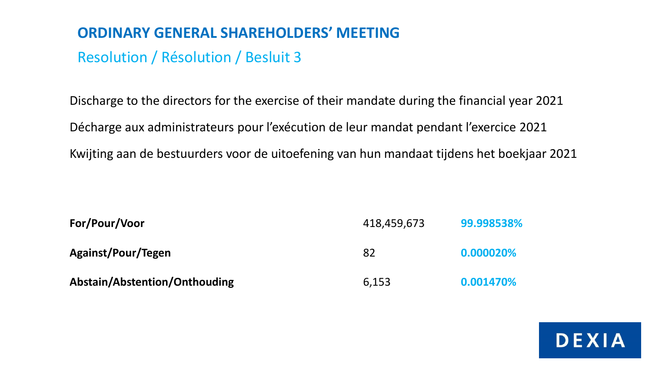# Resolution / Résolution / Besluit 3

Discharge to the directors for the exercise of their mandate during the financial year 2021 Décharge aux administrateurs pour l'exécution de leur mandat pendant l'exercice 2021 Kwijting aan de bestuurders voor de uitoefening van hun mandaat tijdens het boekjaar 2021

| For/Pour/Voor                 | 418,459,673 | 99.998538% |
|-------------------------------|-------------|------------|
| <b>Against/Pour/Tegen</b>     | 82          | 0.000020%  |
| Abstain/Abstention/Onthouding | 6,153       | 0.001470%  |

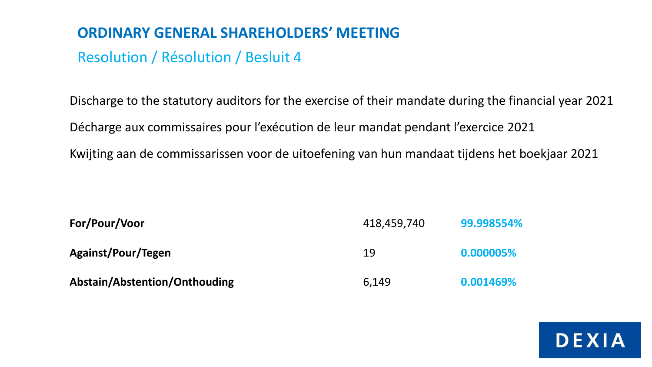# Resolution / Résolution / Besluit 4

Discharge to the statutory auditors for the exercise of their mandate during the financial year 2021 Décharge aux commissaires pour l'exécution de leur mandat pendant l'exercice 2021 Kwijting aan de commissarissen voor de uitoefening van hun mandaat tijdens het boekjaar 2021

| For/Pour/Voor                 | 418,459,740 | 99.998554% |
|-------------------------------|-------------|------------|
| <b>Against/Pour/Tegen</b>     | 19          | 0.000005%  |
| Abstain/Abstention/Onthouding | 6.149       | 0.001469%  |

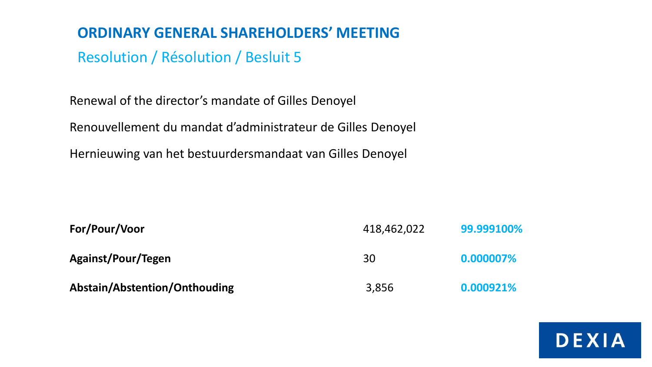Resolution / Résolution / Besluit 5

Renewal of the director's mandate of Gilles Denoyel

Renouvellement du mandat d'administrateur de Gilles Denoyel

Hernieuwing van het bestuurdersmandaat van Gilles Denoyel

| For/Pour/Voor                 | 418,462,022 | 99.999100% |
|-------------------------------|-------------|------------|
| Against/Pour/Tegen            | 30          | 0.000007%  |
| Abstain/Abstention/Onthouding | 3,856       | 0.000921%  |

**DEXIA**